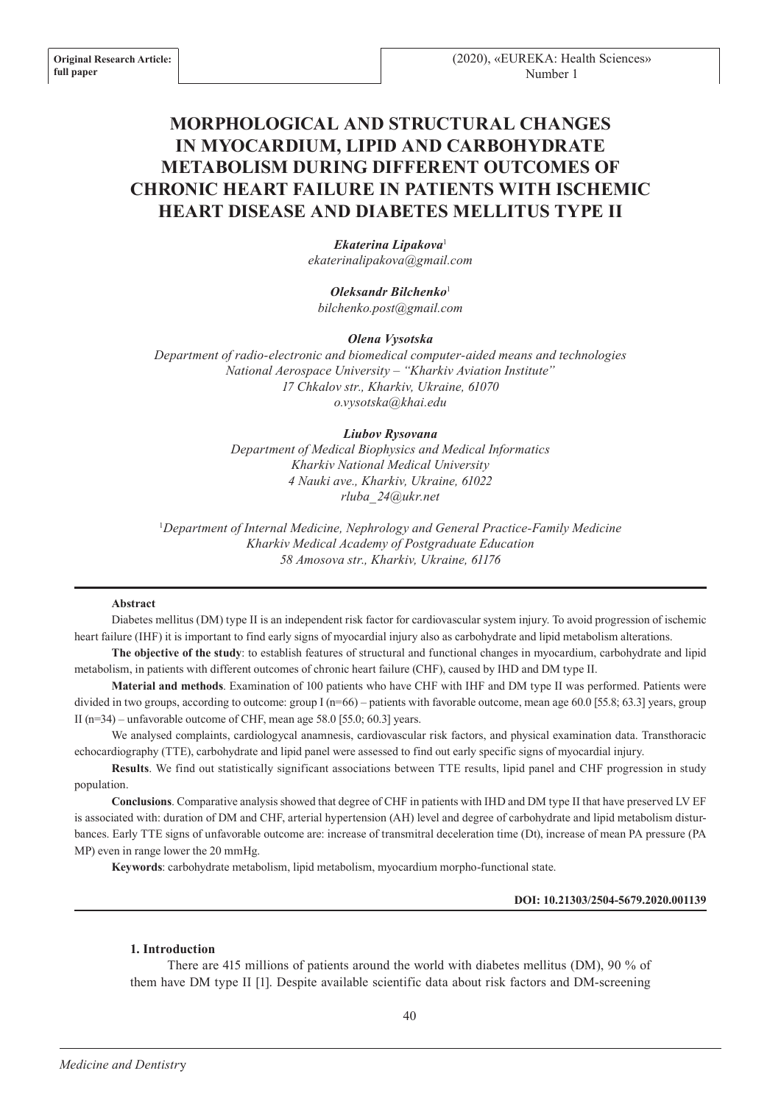# **MORPHOLOGICAL AND STRUCTURAL CHANGES IN MYOCARDIUM, LIPID AND CARBOHYDRATE METABOLISM DURING DIFFERENT OUTCOMES OF CHRONIC HEART FAILURE IN PATIENTS WITH ISCHEMIC HEART DISEASE AND DIABETES MELLITUS TYPE II**

*Ekaterina Lipakova*<sup>1</sup> *ekaterinalipakova@gmail.com*

*Oleksandr Bilchenko*<sup>1</sup> *bilchenko.post@gmail.com*

*Olena Vysotska*

*Department of radio-electronic and biomedical computer-aided means and technologies National Aerospace University – "Kharkiv Aviation Institute" 17 Chkalov str., Kharkiv, Ukraine, 61070 o.vysotska@khai.edu*

## *Liubov Rysovana*

*Department of Medical Biophysics and Medical Informatics Kharkiv National Medical University 4 Nauki ave., Kharkiv, Ukraine, 61022 rluba\_24@ukr.net*

1 *Department of Internal Medicine, Nephrology and General Practice-Family Medicine Kharkiv Medical Academy of Postgraduate Education 58 Amosova str., Kharkiv, Ukraine, 61176*

## **Abstract**

Diabetes mellitus (DM) type II is an independent risk factor for cardiovascular system injury. To avoid progression of ischemic heart failure (IHF) it is important to find early signs of myocardial injury also as carbohydrate and lipid metabolism alterations.

**The objective of the study**: to establish features of structural and functional changes in myocardium, carbohydrate and lipid metabolism, in patients with different outcomes of chronic heart failure (CHF), caused by IHD and DM type II.

**Material and methods**. Examination of 100 patients who have CHF with IHF and DM type II was performed. Patients were divided in two groups, according to outcome: group  $I(n=66)$  – patients with favorable outcome, mean age 60.0 [55.8; 63.3] years, group II (n=34) – unfavorable outcome of CHF, mean age 58.0 [55.0; 60.3] years.

We analysed complaints, cardiologycal anamnesis, cardiovascular risk factors, and physical examination data. Transthoracic echocardiography (TTE), carbohydrate and lipid panel were assessed to find out early specific signs of myocardial injury.

**Results**. We find out statistically significant associations between TTE results, lipid panel and CHF progression in study population.

**Conclusions**. Comparative analysis showed that degree of CHF in patients with IHD and DM type II that have preserved LV EF is associated with: duration of DM and CHF, arterial hypertension (AH) level and degree of carbohydrate and lipid metabolism disturbances. Early TTE signs of unfavorable outcome are: increase of transmitral deceleration time (Dt), increase of mean PA pressure (PA MP) even in range lower the 20 mmHg.

**Keywords**: carbohydrate metabolism, lipid metabolism, myocardium morpho-functional state.

## **DOI: 10.21303/2504-5679.2020.001139**

## **1. Introduction**

There are 415 millions of patients around the world with diabetes mellitus (DM), 90 % of them have DM type II [1]. Despite available scientific data about risk factors and DM-screening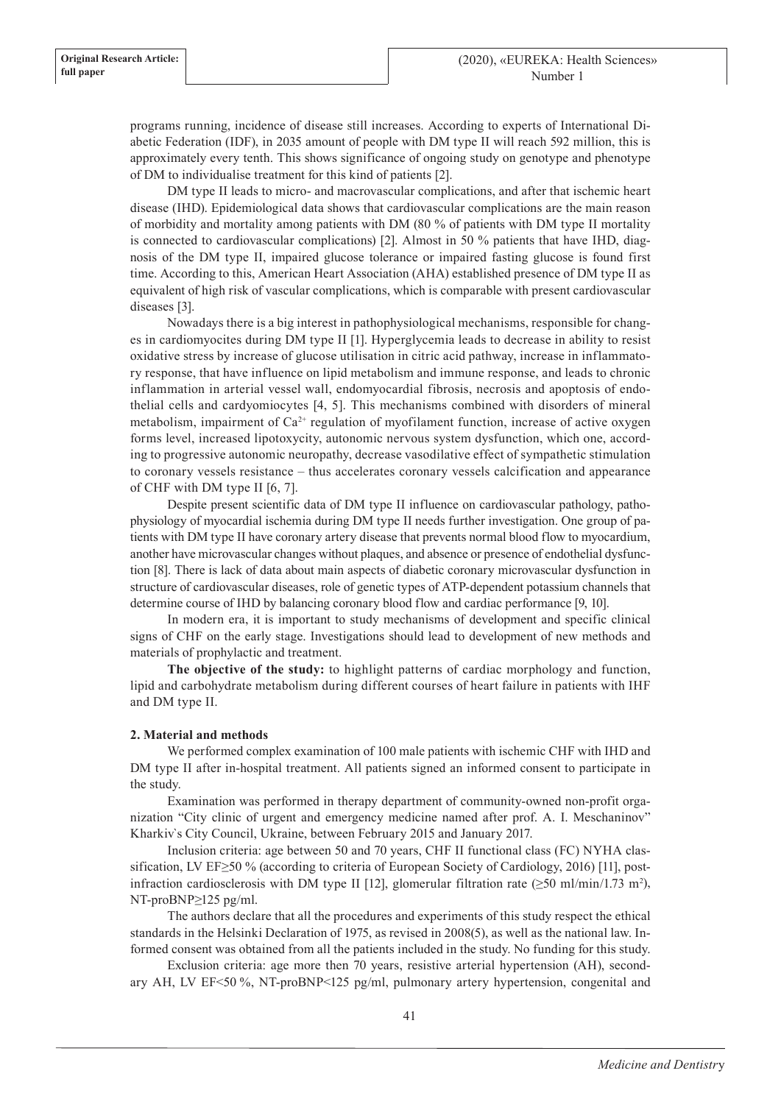programs running, incidence of disease still increases. According to experts of International Diabetic Federation (IDF), in 2035 amount of people with DM type II will reach 592 million, this is approximately every tenth. This shows significance of ongoing study on genotype and phenotype of DM to individualise treatment for this kind of patients [2].

DM type II leads to micro- and macrovascular complications, and after that ischemic heart disease (IHD). Epidemiological data shows that cardiovascular complications are the main reason of morbidity and mortality among patients with DM (80 % of patients with DM type II mortality is connected to cardiovascular complications) [2]. Almost in 50 % patients that have IHD, diagnosis of the DM type II, impaired glucose tolerance or impaired fasting glucose is found first time. According to this, American Heart Association (AHA) established presence of DM type II as equivalent of high risk of vascular complications, which is comparable with present cardiovascular diseases [3].

Nowadays there is a big interest in pathophysiological mechanisms, responsible for changes in cardiomyocites during DM type II [1]. Hyperglycemia leads to decrease in ability to resist oxidative stress by increase of glucose utilisation in citric acid pathway, increase in inflammatory response, that have influence on lipid metabolism and immune response, and leads to chronic inflammation in arterial vessel wall, endomyocardial fibrosis, necrosis and apoptosis of endothelial cells and cardyomiocytes [4, 5]. This mechanisms combined with disorders of mineral metabolism, impairment of  $Ca^{2+}$  regulation of myofilament function, increase of active oxygen forms level, increased lipotoxycity, autonomic nervous system dysfunction, which one, according to progressive autonomic neuropathy, decrease vasodilative effect of sympathetic stimulation to coronary vessels resistance – thus accelerates coronary vessels calcification and appearance of CHF with DM type II [6, 7].

Despite present scientific data of DM type II influence on cardiovascular pathology, pathophysiology of myocardial ischemia during DM type II needs further investigation. One group of patients with DM type II have coronary artery disease that prevents normal blood flow to myocardium, another have microvascular changes without plaques, and absence or presence of endothelial dysfunction [8]. There is lack of data about main aspects of diabetic coronary microvascular dysfunction in structure of cardiovascular diseases, role of genetic types of ATP-dependent potassium channels that determine course of IHD by balancing coronary blood flow and cardiac performance [9, 10].

In modern era, it is important to study mechanisms of development and specific clinical signs of CHF on the early stage. Investigations should lead to development of new methods and materials of prophylactic and treatment.

**The objective of the study:** to highlight patterns of cardiac morphology and function, lipid and carbohydrate metabolism during different courses of heart failure in patients with IHF and DM type II.

## **2. Material and methods**

We performed complex examination of 100 male patients with ischemic CHF with IHD and DM type II after in-hospital treatment. All patients signed an informed consent to participate in the study.

Examination was performed in therapy department of community-owned non-profit organization "City clinic of urgent and emergency medicine named after prof. A. I. Meschaninov" Kharkiv`s City Council, Ukraine, between February 2015 and January 2017.

Inclusion criteria: age between 50 and 70 years, CHF II functional class (FC) NYHA classification, LV EF≥50 % (according to criteria of European Society of Cardiology, 2016) [11], postinfraction cardiosclerosis with DM type II [12], glomerular filtration rate  $(\geq 50 \text{ ml/min}/1.73 \text{ m}^2)$ , NT-proBNP≥125 pg/ml.

The authors declare that all the procedures and experiments of this study respect the ethical standards in the Helsinki Declaration of 1975, as revised in 2008(5), as well as the national law. Informed consent was obtained from all the patients included in the study. No funding for this study.

Exclusion criteria: age more then 70 years, resistive arterial hypertension (AH), secondary AH, LV EF<50 %, NT-proBNP<125 pg/ml, pulmonary artery hypertension, congenital and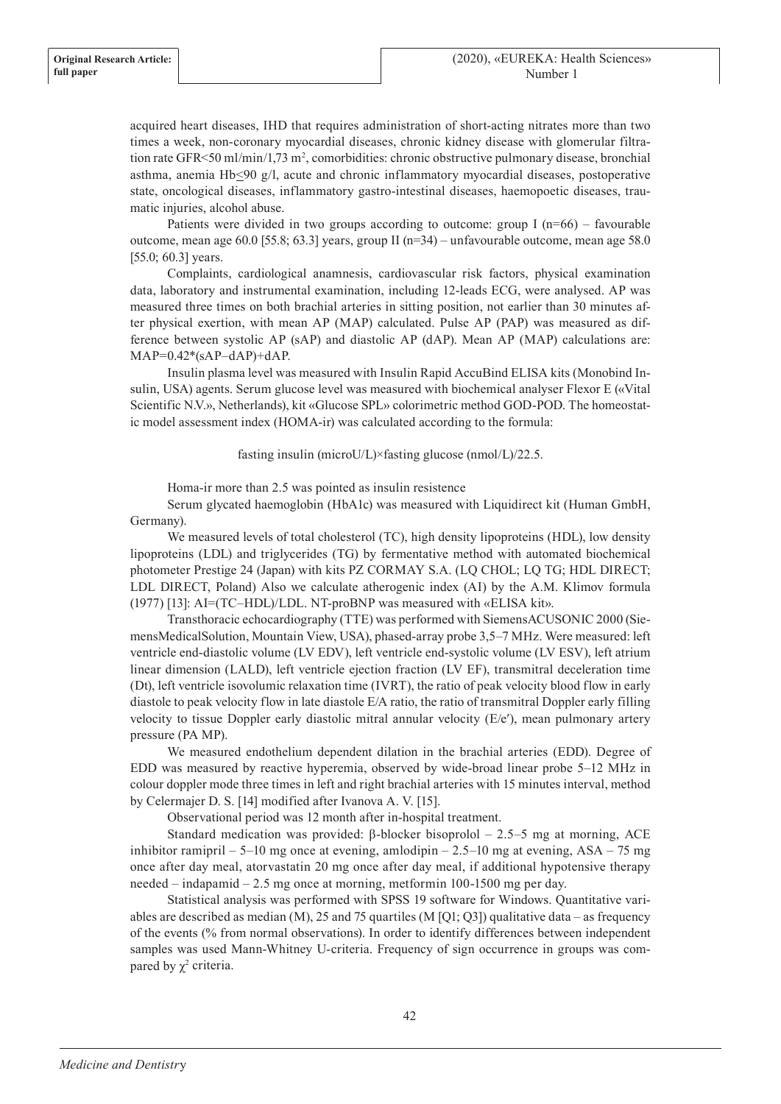acquired heart diseases, IHD that requires administration of short-acting nitrates more than two times a week, non-coronary myocardial diseases, chronic kidney disease with glomerular filtration rate GFR<50 ml/min/1,73 m<sup>2</sup>, comorbidities: chronic obstructive pulmonary disease, bronchial asthma, anemia Hb<90 g/l, acute and chronic inflammatory myocardial diseases, postoperative state, oncological diseases, inflammatory gastro-intestinal diseases, haemopoetic diseases, traumatic injuries, alcohol abuse.

Patients were divided in two groups according to outcome: group I  $(n=66)$  – favourable outcome, mean age 60.0 [55.8; 63.3] years, group II (n=34) – unfavourable outcome, mean age 58.0 [55.0; 60.3] years.

Complaints, cardiological anamnesis, cardiovascular risk factors, physical examination data, laboratory and instrumental examination, including 12-leads ECG, were analysed. AP was measured three times on both brachial arteries in sitting position, not earlier than 30 minutes after physical exertion, with mean AP (MAP) calculated. Pulse AP (PAP) was measured as difference between systolic AP (sAP) and diastolic AP (dAP). Mean AP (MAP) calculations are:  $MAP=0.42*(sAP-dAP)+dAP$ .

Insulin plasma level was measured with Insulin Rapid AccuBind ELISA kits (Monobind Insulin, USA) agents. Serum glucose level was measured with biochemical analyser Flexor E («Vital Scientific N.V.», Netherlands), kit «Glucose SPL» colorimetric method GOD-POD. The homeostatic model assessment index (HOMA-ir) was calculated according to the formula:

fasting insulin (microU/L)×fasting glucose (nmol/L)/22.5.

Homa-ir more than 2.5 was pointed as insulin resistence

Serum glycated haemoglobin (HbA1c) was measured with Liquidirect kit (Human GmbH, Germany).

We measured levels of total cholesterol (TC), high density lipoproteins (HDL), low density lipoproteins (LDL) and triglycerides (TG) by fermentative method with automated biochemical photometer Prestige 24 (Japan) with kits PZ CORMAY S.A. (LQ CHOL; LQ TG; HDL DIRECT; LDL DIRECT, Poland) Also we calculate atherogenic index (AI) by the А.М. Klimov formula (1977) [13]: AI=(TC–HDL)/LDL. NT-proBNP was measured with «ELISA kit».

Transthoracic echocardiography (TTE) was performed with SiemensACUSONIC 2000 (SiemensMedicalSolution, Mountain View, USA), phased-array probe 3,5–7 MHz. Were measured: left ventricle end-diastolic volume (LV EDV), left ventricle end-systolic volume (LV ESV), left atrium linear dimension (LALD), left ventricle ejection fraction (LV EF), transmitral deceleration time (Dt), left ventricle isovolumic relaxation time (IVRT), the ratio of peak velocity blood flow in early diastole to peak velocity flow in late diastole E/A ratio, the ratio of transmitral Doppler early filling velocity to tissue Doppler early diastolic mitral annular velocity (E/e′), mean pulmonary artery pressure (PA MP).

We measured endothelium dependent dilation in the brachial arteries (EDD). Degree of EDD was measured by reactive hyperemia, observed by wide-broad linear probe 5–12 MHz in colour doppler mode three times in left and right brachial arteries with 15 minutes interval, method by Celermajer D. S. [14] modified after Ivanova A. V. [15].

Observational period was 12 month after in-hospital treatment.

Standard medication was provided: β-blocker bisoprolol – 2.5–5 mg at morning, ACE inhibitor ramipril – 5–10 mg once at evening, amlodipin – 2.5–10 mg at evening, ASA – 75 mg once after day meal, atorvastatin 20 mg once after day meal, if additional hypotensive therapy needed – indapamid – 2.5 mg once at morning, metformin 100-1500 mg per day.

Statistical analysis was performed with SPSS 19 software for Windows. Quantitative variables are described as median (M), 25 and 75 quartiles (M [Q1; Q3]) qualitative data – as frequency of the events (% from normal observations). In order to identify differences between independent samples was used Mann-Whitney U-criteria. Frequency of sign occurrence in groups was compared by  $\chi^2$  criteria.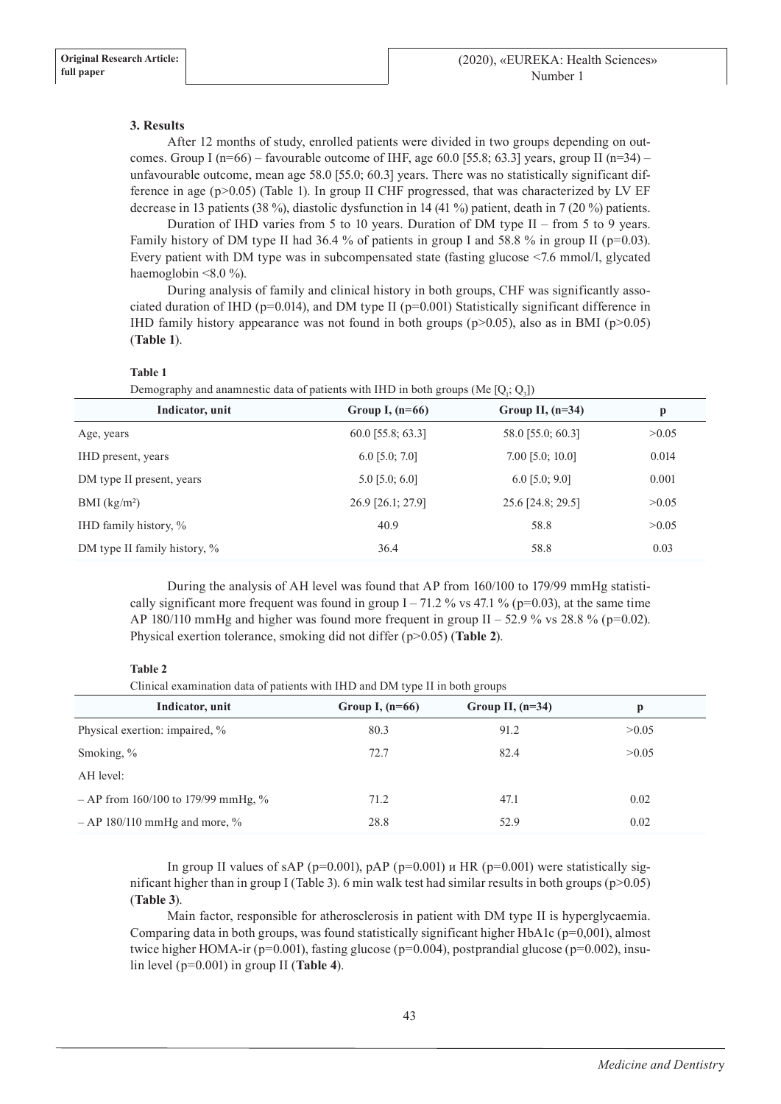## **3. Results**

After 12 months of study, enrolled patients were divided in two groups depending on outcomes. Group I ( $n=66$ ) – favourable outcome of IHF, age 60.0 [55.8; 63.3] years, group II ( $n=34$ ) – unfavourable outcome, mean age 58.0 [55.0; 60.3] years. There was no statistically significant difference in age (р>0.05) (Table 1). In group II CHF progressed, that was characterized by LV EF decrease in 13 patients (38 %), diastolic dysfunction in 14 (41 %) patient, death in 7 (20 %) patients.

Duration of IHD varies from 5 to 10 years. Duration of DM type II – from 5 to 9 years. Family history of DM type II had 36.4 % of patients in group I and 58.8 % in group II ( $p=0.03$ ). Every patient with DM type was in subcompensated state (fasting glucose <7.6 mmol/l, glycated haemoglobin <8.0 %).

During analysis of family and clinical history in both groups, CHF was significantly associated duration of IHD ( $p=0.014$ ), and DM type II ( $p=0.001$ ) Statistically significant difference in IHD family history appearance was not found in both groups ( $p$ >0.05), also as in BMI ( $p$ >0.05) (**Table 1**).

## **Table 1**

Demography and anamnestic data of patients with IHD in both groups (Me  $[Q_i; Q_3]$ )

| Indicator, unit              | Group I, $(n=66)$   | Group II, $(n=34)$ | p     |
|------------------------------|---------------------|--------------------|-------|
| Age, years                   | $60.0$ [55.8; 63.3] | 58.0 [55.0; 60.3]  | >0.05 |
| IHD present, years           | $6.0$ [5.0; 7.0]    | $7.00$ [5.0; 10.0] | 0.014 |
| DM type II present, years    | $5.0$ [5.0; 6.0]    | $6.0$ [5.0; 9.0]   | 0.001 |
| BMI (kg/m <sup>2</sup> )     | 26.9 [26.1; 27.9]   | 25.6 [24.8; 29.5]  | >0.05 |
| IHD family history, %        | 40.9                | 58.8               | >0.05 |
| DM type II family history, % | 36.4                | 58.8               | 0.03  |

During the analysis of AH level was found that AP from 160/100 to 179/99 mmHg statistically significant more frequent was found in group  $I - 71.2$  % vs 47.1 % ( $p=0.03$ ), at the same time AP 180/110 mmHg and higher was found more frequent in group II – 52.9 % vs 28.8 % ( $p=0.02$ ). Physical exertion tolerance, smoking did not differ (р>0.05) (**Table 2**).

## **Table 2**

Clinical examination data of patients with IHD and DM type II in both groups

| Indicator, unit                       | Group I, $(n=66)$ | Group II, $(n=34)$ | р     |
|---------------------------------------|-------------------|--------------------|-------|
| Physical exertion: impaired, %        | 80.3              | 91.2               | >0.05 |
| Smoking, %                            | 72.7              | 82.4               | >0.05 |
| AH level:                             |                   |                    |       |
| $-$ AP from 160/100 to 179/99 mmHg, % | 71.2              | 47.1               | 0.02  |
| $-$ AP 180/110 mmHg and more, %       | 28.8              | 52.9               | 0.02  |

In group II values of sAP ( $p=0.001$ ),  $pAP$  ( $p=0.001$ )  $u$  HR ( $p=0.001$ ) were statistically significant higher than in group I (Table 3). 6 min walk test had similar results in both groups (p>0.05) (**Table 3**).

Main factor, responsible for atherosclerosis in patient with DM type II is hyperglycaemia. Comparing data in both groups, was found statistically significant higher HbA1c ( $p=0,001$ ), almost twice higher HOMA-ir ( $p=0.001$ ), fasting glucose ( $p=0.004$ ), postprandial glucose ( $p=0.002$ ), insulin level (р=0.001) in group II (**Table 4**).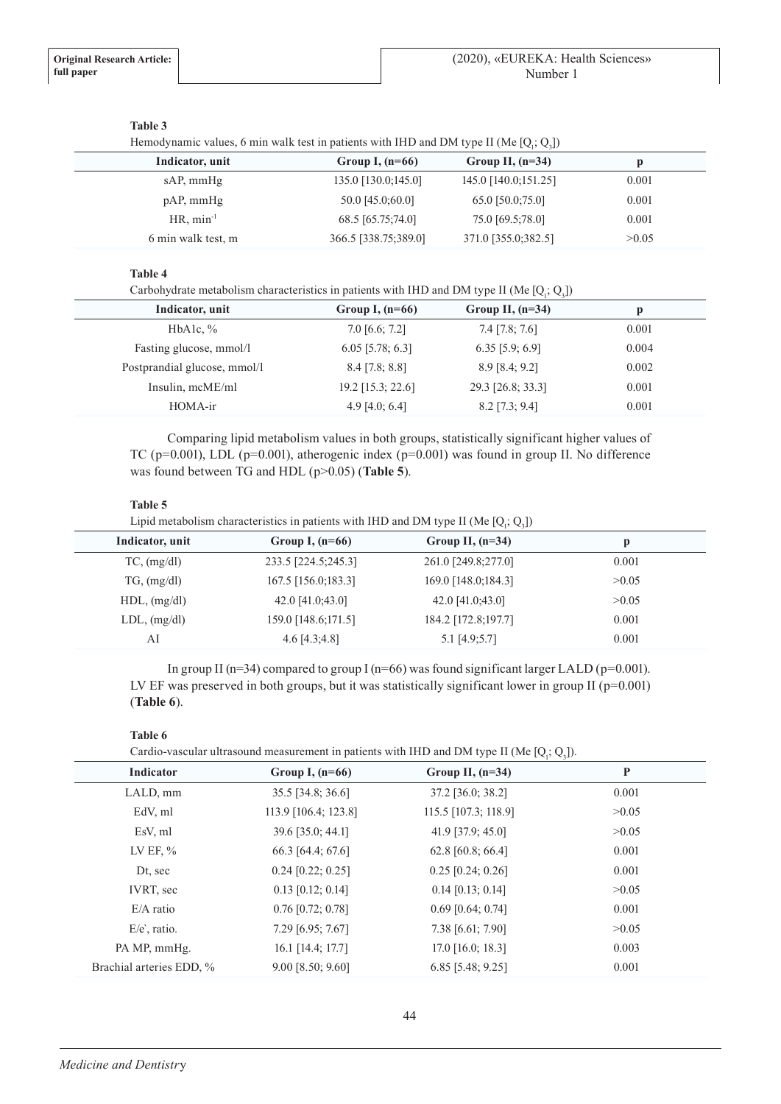## **Table 3**

Hemodynamic values, 6 min walk test in patients with IHD and DM type II (Me  $[Q_i; Q_3]$ )

| Indicator, unit    | Group I, $(n=66)$    | Group II, $(n=34)$   |       |  |
|--------------------|----------------------|----------------------|-------|--|
| sAP, mmHg          | 135.0 [130.0;145.0]  | 145.0 [140.0;151.25] | 0.001 |  |
| $pAP$ , mmHg       | 50.0 [45.0;60.0]     | 65.0 [50.0;75.0]     | 0.001 |  |
| $HR, min^{-1}$     | 68.5 [65.75;74.0]    | 75.0 [69.5;78.0]     | 0.001 |  |
| 6 min walk test, m | 366.5 [338.75;389.0] | 371.0 [355.0;382.5]  | >0.05 |  |
|                    |                      |                      |       |  |

## **Table 4**

Carbohydrate metabolism characteristics in patients with IHD and DM type II (Me  $[Q_j; Q_j]$ )

| Indicator, unit              | Group I, $(n=66)$   | Group II, $(n=34)$ |       |
|------------------------------|---------------------|--------------------|-------|
| HbAlc, $\%$                  | $7.0$ [6.6; $7.2$ ] | $7.4$ [7.8; 7.6]   | 0.001 |
| Fasting glucose, mmol/l      | $6.05$ [5.78; 6.3]  | $6.35$ [5.9; 6.9]  | 0.004 |
| Postprandial glucose, mmol/l | $8.4$ [7.8; 8.8]    | $8.9$ [8.4; 9.2]   | 0.002 |
| Insulin, mcME/ml             | 19.2 [15.3; 22.6]   | 29.3 [26.8; 33.3]  | 0.001 |
| HOMA-ir                      | 4.9 [4.0; 6.4]      | $8.2$ [7.3; 9.4]   | 0.001 |
|                              |                     |                    |       |

Comparing lipid metabolism values in both groups, statistically significant higher values of TC ( $p=0.001$ ), LDL ( $p=0.001$ ), atherogenic index ( $p=0.001$ ) was found in group II. No difference was found between TG and HDL ( $p > 0.05$ ) (**Table 5**).

## **Table 5**

Lipid metabolism characteristics in patients with IHD and DM type II (Me  $[Q_i; Q_3]$ )

| Group I, $(n=66)$   | Group II, $(n=34)$  |       |
|---------------------|---------------------|-------|
| 233.5 [224.5;245.3] | 261.0 [249.8;277.0] | 0.001 |
| 167.5 [156.0;183.3] | 169.0 [148.0;184.3] | >0.05 |
| 42.0 [41.0:43.0]    | 42.0 [41.0:43.0]    | >0.05 |
| 159.0 [148.6;171.5] | 184.2 [172.8;197.7] | 0.001 |
| $4.6$ [ $4.3;4.8$ ] | $5.1$ [4.9;5.7]     | 0.001 |
|                     |                     |       |

In group II (n=34) compared to group I (n=66) was found significant larger LALD (p=0.001). LV EF was preserved in both groups, but it was statistically significant lower in group II (p=0.001) (**Table 6**).

# **Table 6**

Cardio-vascular ultrasound measurement in patients with IHD and DM type II (Me  $[Q_i; Q_3]$ ).

| Indicator                | Group I, $(n=66)$    | Group II, $(n=34)$   | P     |
|--------------------------|----------------------|----------------------|-------|
| LALD, mm                 | 35.5 [34.8; 36.6]    | 37.2 [36.0; 38.2]    | 0.001 |
| EdV, ml                  | 113.9 [106.4; 123.8] | 115.5 [107.3; 118.9] | >0.05 |
| EsV, ml                  | 39.6 [35.0; 44.1]    | 41.9 [37.9; 45.0]    | >0.05 |
| LV EF, $\%$              | 66.3 [64.4; 67.6]    | 62.8 [60.8; 66.4]    | 0.001 |
| Dt, sec                  | $0.24$ [0.22; 0.25]  | $0.25$ [0.24; 0.26]  | 0.001 |
| IVRT, sec                | $0.13$ [0.12; 0.14]  | $0.14$ [0.13; 0.14]  | >0.05 |
| $E/A$ ratio              | $0.76$ [0.72; 0.78]  | $0.69$ [0.64; 0.74]  | 0.001 |
| $E/e$ , ratio.           | 7.29 [6.95; 7.67]    | 7.38 [6.61; 7.90]    | >0.05 |
| PA MP, mmHg.             | 16.1 [14.4; 17.7]    | $17.0$ [16.0; 18.3]  | 0.003 |
| Brachial arteries EDD, % | 9.00 [8.50; 9.60]    | 6.85 [5.48; 9.25]    | 0.001 |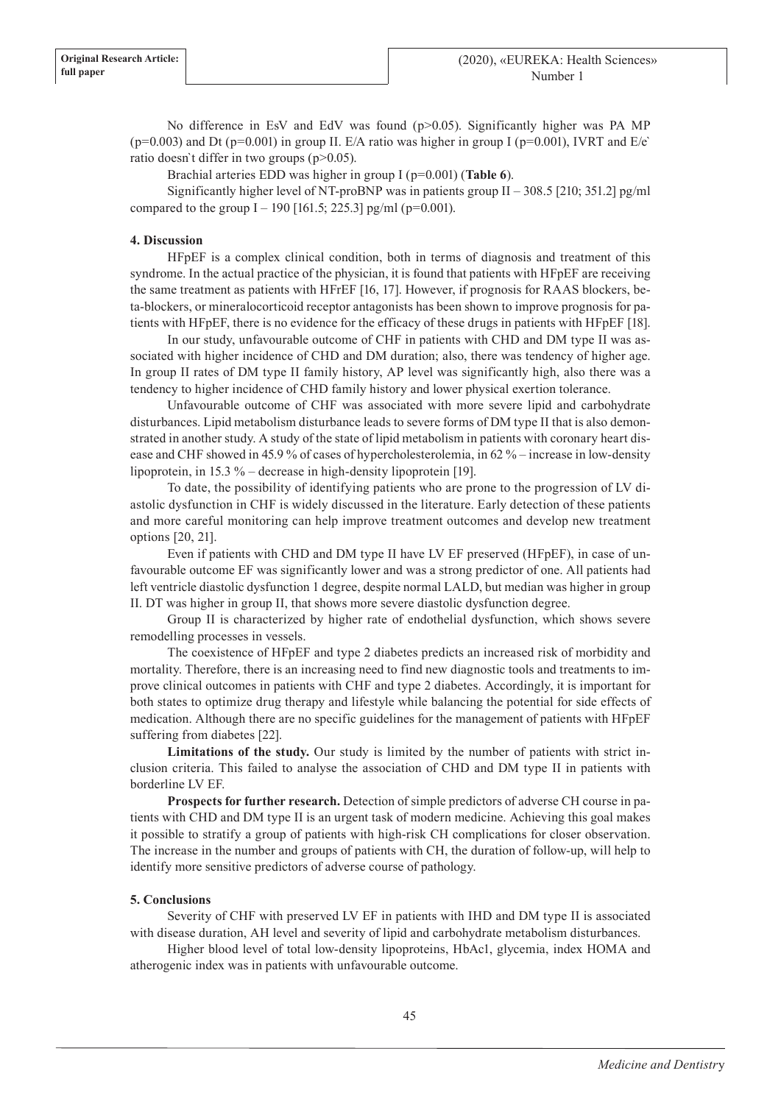No difference in EsV and EdV was found ( $p > 0.05$ ). Significantly higher was PA MP  $(p=0.003)$  and Dt  $(p=0.001)$  in group II. E/A ratio was higher in group I ( $p=0.001$ ), IVRT and E/e` ratio doesn't differ in two groups (p>0.05).

Brachial arteries EDD was higher in group I (р=0.001) (**Table 6**).

Significantly higher level of NT-proBNP was in patients group II – 308.5 [210; 351.2] pg/ml compared to the group I – 190 [161.5; 225.3] pg/ml ( $p=0.001$ ).

## **4. Discussion**

HFpEF is a complex clinical condition, both in terms of diagnosis and treatment of this syndrome. In the actual practice of the physician, it is found that patients with HFpEF are receiving the same treatment as patients with HFrEF [16, 17]. However, if prognosis for RAAS blockers, beta-blockers, or mineralocorticoid receptor antagonists has been shown to improve prognosis for patients with HFpEF, there is no evidence for the efficacy of these drugs in patients with HFpEF [18].

In our study, unfavourable outcome of CHF in patients with СHD and DM type II was associated with higher incidence of СHD and DM duration; also, there was tendency of higher age. In group II rates of DM type II family history, AP level was significantly high, also there was a tendency to higher incidence of СHD family history and lower physical exertion tolerance.

Unfavourable outcome of CHF was associated with more severe lipid and carbohydrate disturbances. Lipid metabolism disturbance leads to severe forms of DM type II that is also demonstrated in another study. A study of the state of lipid metabolism in patients with coronary heart disease and CHF showed in 45.9 % of cases of hypercholesterolemia, in 62 % – increase in low-density lipoprotein, in 15.3 % – decrease in high-density lipoprotein [19].

To date, the possibility of identifying patients who are prone to the progression of LV diastolic dysfunction in CHF is widely discussed in the literature. Early detection of these patients and more careful monitoring can help improve treatment outcomes and develop new treatment options [20, 21].

Even if patients with CHD and DM type II have LV EF preserved (HFpEF), in case of unfavourable outcome EF was significantly lower and was a strong predictor of one. All patients had left ventricle diastolic dysfunction 1 degree, despite normal LALD, but median was higher in group II. DT was higher in group II, that shows more severe diastolic dysfunction degree.

Group II is characterized by higher rate of endothelial dysfunction, which shows severe remodelling processes in vessels.

The coexistence of HFpEF and type 2 diabetes predicts an increased risk of morbidity and mortality. Therefore, there is an increasing need to find new diagnostic tools and treatments to improve clinical outcomes in patients with CHF and type 2 diabetes. Accordingly, it is important for both states to optimize drug therapy and lifestyle while balancing the potential for side effects of medication. Although there are no specific guidelines for the management of patients with HFpEF suffering from diabetes [22].

**Limitations of the study.** Our study is limited by the number of patients with strict inclusion criteria. This failed to analyse the association of CHD and DM type II in patients with borderline LV EF.

**Prospects for further research.** Detection of simple predictors of adverse CH course in patients with CHD and DM type II is an urgent task of modern medicine. Achieving this goal makes it possible to stratify a group of patients with high-risk CH complications for closer observation. The increase in the number and groups of patients with CH, the duration of follow-up, will help to identify more sensitive predictors of adverse course of pathology.

## **5. Conclusions**

Severity of CHF with preserved LV EF in patients with IHD and DM type II is associated with disease duration, AH level and severity of lipid and carbohydrate metabolism disturbances.

Higher blood level of total low-density lipoproteins, HbAc1, glycemia, index HOMA and atherogenic index was in patients with unfavourable outcome.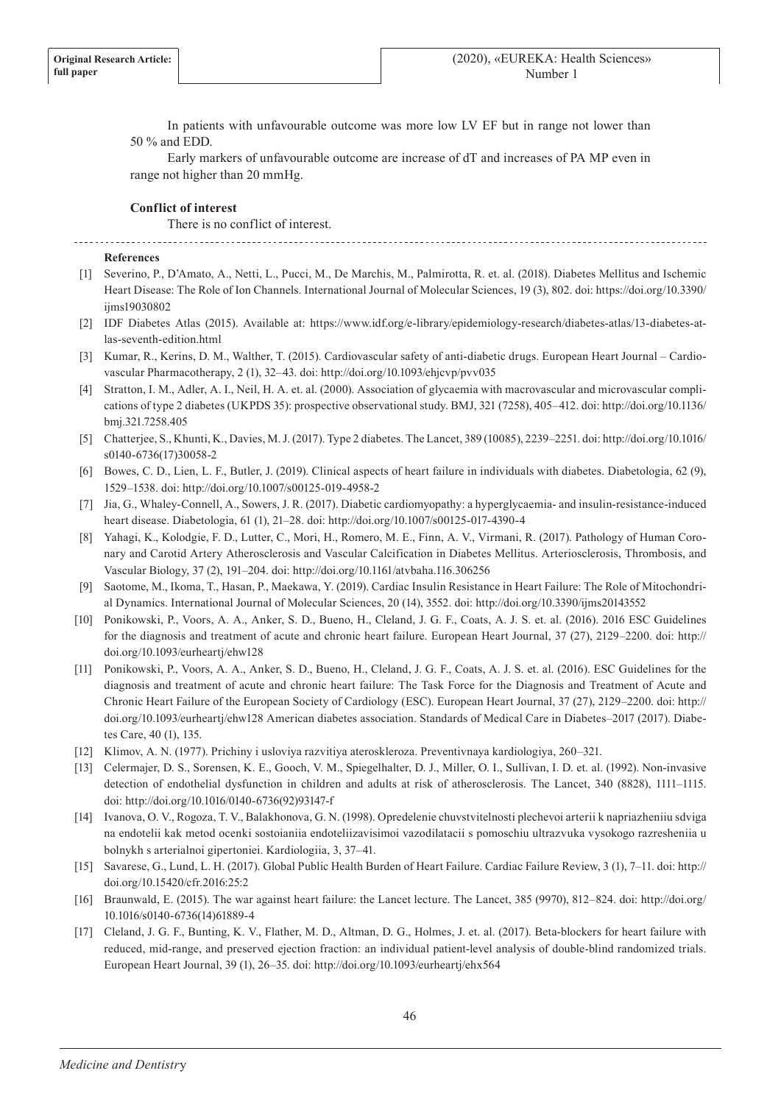In patients with unfavourable outcome was more low LV EF but in range not lower than 50 % and EDD.

Early markers of unfavourable outcome are increase of dT and increases of PA MP even in range not higher than 20 mmHg.

## **Conflict of interest**

There is no conflict of interest.

## **References**

- [1] Severino, P., D'Amato, A., Netti, L., Pucci, M., De Marchis, M., Palmirotta, R. et. al. (2018). Diabetes Mellitus and Ischemic Heart Disease: The Role of Ion Channels. International Journal of Molecular Sciences, 19 (3), 802. doi: https://doi.org/10.3390/ ijms19030802
- [2] IDF Diabetes Atlas (2015). Available at: https://www.idf.org/e-library/epidemiology-research/diabetes-atlas/13-diabetes-atlas-seventh-edition.html
- [3] Kumar, R., Kerins, D. M., Walther, T. (2015). Cardiovascular safety of anti-diabetic drugs. European Heart Journal Cardiovascular Pharmacotherapy, 2 (1), 32–43. doi: http://doi.org/10.1093/ehjcvp/pvv035
- [4] Stratton, I. M., Adler, A. I., Neil, H. A. et. al. (2000). Association of glycaemia with macrovascular and microvascular complications of type 2 diabetes (UKPDS 35): prospective observational study. BMJ, 321 (7258), 405–412. doi: http://doi.org/10.1136/ bmj.321.7258.405
- [5] Chatterjee, S., Khunti, K., Davies, M. J. (2017). Type 2 diabetes. The Lancet, 389 (10085), 2239–2251. doi: http://doi.org/10.1016/ s0140-6736(17)30058-2
- [6] Bowes, C. D., Lien, L. F., Butler, J. (2019). Clinical aspects of heart failure in individuals with diabetes. Diabetologia, 62 (9), 1529–1538. doi: http://doi.org/10.1007/s00125-019-4958-2
- [7] Jia, G., Whaley-Connell, A., Sowers, J. R. (2017). Diabetic cardiomyopathy: a hyperglycaemia- and insulin-resistance-induced heart disease. Diabetologia, 61 (1), 21–28. doi: http://doi.org/10.1007/s00125-017-4390-4
- [8] Yahagi, K., Kolodgie, F. D., Lutter, C., Mori, H., Romero, M. E., Finn, A. V., Virmani, R. (2017). Pathology of Human Coronary and Carotid Artery Atherosclerosis and Vascular Calcification in Diabetes Mellitus. Arteriosclerosis, Thrombosis, and Vascular Biology, 37 (2), 191–204. doi: http://doi.org/10.1161/atvbaha.116.306256
- [9] Saotome, M., Ikoma, T., Hasan, P., Maekawa, Y. (2019). Cardiac Insulin Resistance in Heart Failure: The Role of Mitochondrial Dynamics. International Journal of Molecular Sciences, 20 (14), 3552. doi: http://doi.org/10.3390/ijms20143552
- [10] Ponikowski, P., Voors, A. A., Anker, S. D., Bueno, H., Cleland, J. G. F., Coats, A. J. S. et. al. (2016). 2016 ESC Guidelines for the diagnosis and treatment of acute and chronic heart failure. European Heart Journal, 37 (27), 2129–2200. doi: http:// doi.org/10.1093/eurheartj/ehw128
- [11] Ponikowski, P., Voors, A. A., Anker, S. D., Bueno, H., Cleland, J. G. F., Coats, A. J. S. et. al. (2016). ESC Guidelines for the diagnosis and treatment of acute and chronic heart failure: The Task Force for the Diagnosis and Treatment of Acute and Chronic Heart Failure of the European Society of Cardiology (ESC). European Heart Journal, 37 (27), 2129–2200. doi: http:// doi.org/10.1093/eurheartj/ehw128 American diabetes association. Standards of Medical Care in Diabetes–2017 (2017). Diabetes Care, 40 (1), 135.
- [12] Klimov, A. N. (1977). Prichiny i usloviya razvitiya ateroskleroza. Preventivnaya kardiologiya, 260–321.
- [13] Celermajer, D. S., Sorensen, K. E., Gooch, V. M., Spiegelhalter, D. J., Miller, O. I., Sullivan, I. D. et. al. (1992). Non-invasive detection of endothelial dysfunction in children and adults at risk of atherosclerosis. The Lancet, 340 (8828), 1111–1115. doi: http://doi.org/10.1016/0140-6736(92)93147-f
- [14] Ivanova, O. V., Rogoza, T. V., Balakhonova, G. N. (1998). Opredelenie chuvstvitelnosti plechevoi arterii k napriazheniiu sdviga na endotelii kak metod ocenki sostoianiia endoteliizavisimoi vazodilatacii s pomoschiu ultrazvuka vysokogo razresheniia u bolnykh s arterialnoi gipertoniei. Kardiologiia, 3, 37–41.
- [15] Savarese, G., Lund, L. H. (2017). Global Public Health Burden of Heart Failure. Cardiac Failure Review, 3 (1), 7–11. doi: http:// doi.org/10.15420/cfr.2016:25:2
- [16] Braunwald, E. (2015). The war against heart failure: the Lancet lecture. The Lancet, 385 (9970), 812–824. doi: http://doi.org/ 10.1016/s0140-6736(14)61889-4
- [17] Cleland, J. G. F., Bunting, K. V., Flather, M. D., Altman, D. G., Holmes, J. et. al. (2017). Beta-blockers for heart failure with reduced, mid-range, and preserved ejection fraction: an individual patient-level analysis of double-blind randomized trials. European Heart Journal, 39 (1), 26–35. doi: http://doi.org/10.1093/eurheartj/ehx564